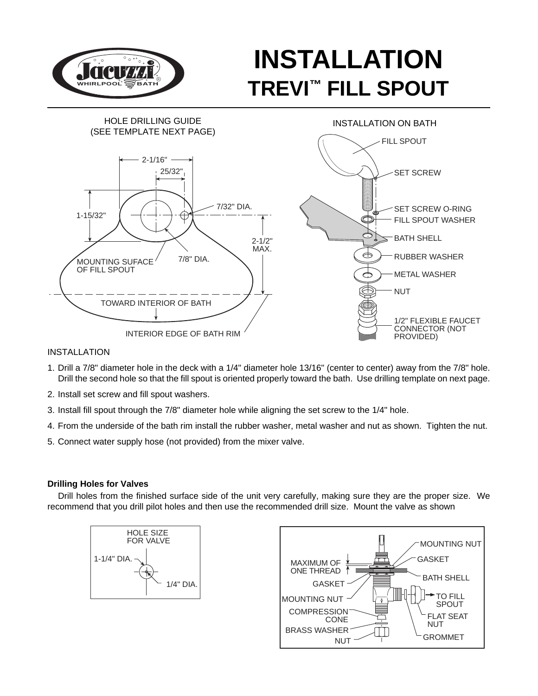

# **INSTALLATION TREVI™ FILL SPOUT**



## INSTALLATION

- 1. Drill a 7/8" diameter hole in the deck with a 1/4" diameter hole 13/16" (center to center) away from the 7/8" hole. Drill the second hole so that the fill spout is oriented properly toward the bath. Use drilling template on next page.
- 2. Install set screw and fill spout washers.
- 3. Install fill spout through the 7/8" diameter hole while aligning the set screw to the 1/4" hole.
- 4. From the underside of the bath rim install the rubber washer, metal washer and nut as shown. Tighten the nut.
- 5. Connect water supply hose (not provided) from the mixer valve.

### **Drilling Holes for Valves**

Drill holes from the finished surface side of the unit very carefully, making sure they are the proper size. We recommend that you drill pilot holes and then use the recommended drill size. Mount the valve as shown



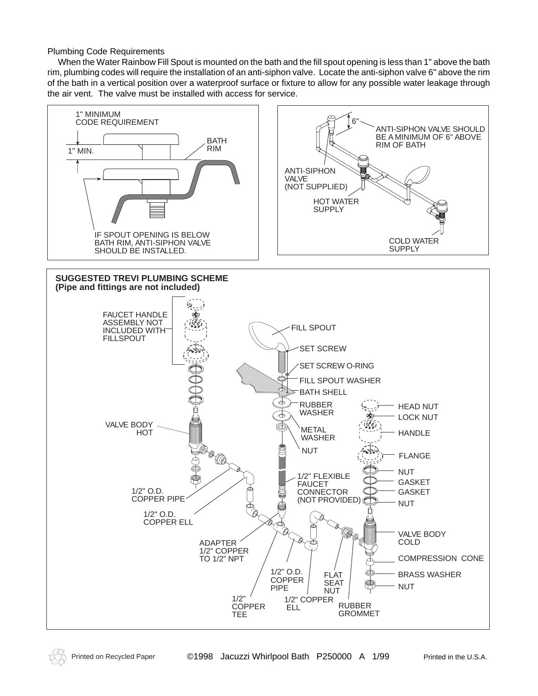Plumbing Code Requirements

When the Water Rainbow Fill Spout is mounted on the bath and the fill spout opening is less than 1" above the bath rim, plumbing codes will require the installation of an anti-siphon valve. Locate the anti-siphon valve 6" above the rim of the bath in a vertical position over a waterproof surface or fixture to allow for any possible water leakage through the air vent. The valve must be installed with access for service.